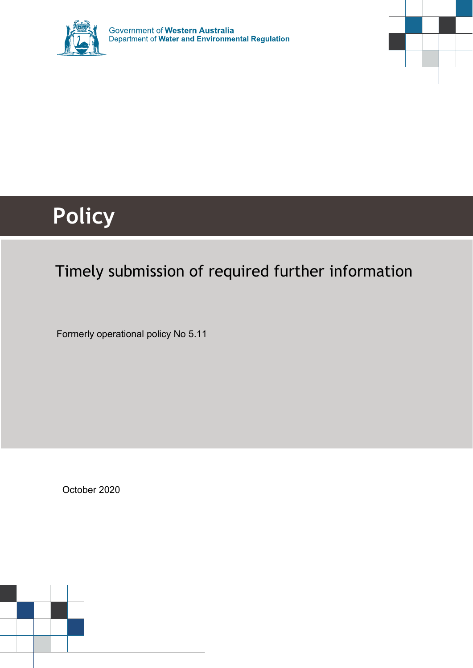



# **Policy**

# Timely submission of required further information

Formerly operational policy No 5.11

October 2020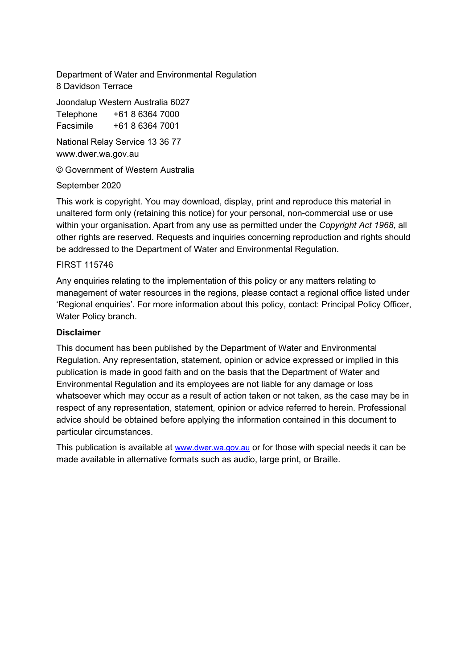Department of Water and Environmental Regulation 8 Davidson Terrace

Joondalup Western Australia 6027 Telephone +61 8 6364 7000

Facsimile +61 8 6364 7001

National Relay Service 13 36 77 www.dwer.wa.gov.au

© Government of Western Australia

#### September 2020

This work is copyright. You may download, display, print and reproduce this material in unaltered form only (retaining this notice) for your personal, non-commercial use or use within your organisation. Apart from any use as permitted under the *Copyright Act 1968*, all other rights are reserved. Requests and inquiries concerning reproduction and rights should be addressed to the Department of Water and Environmental Regulation.

#### FIRST 115746

Any enquiries relating to the implementation of this policy or any matters relating to management of water resources in the regions, please contact a regional office listed under 'Regional enquiries'. For more information about this policy, contact: Principal Policy Officer, Water Policy branch.

#### **Disclaimer**

This document has been published by the Department of Water and Environmental Regulation. Any representation, statement, opinion or advice expressed or implied in this publication is made in good faith and on the basis that the Department of Water and Environmental Regulation and its employees are not liable for any damage or loss whatsoever which may occur as a result of action taken or not taken, as the case may be in respect of any representation, statement, opinion or advice referred to herein. Professional advice should be obtained before applying the information contained in this document to particular circumstances.

This publication is available at [www.dwer.wa.gov.au](http://www.dwer.wa.gov.au/) or for those with special needs it can be made available in alternative formats such as audio, large print, or Braille.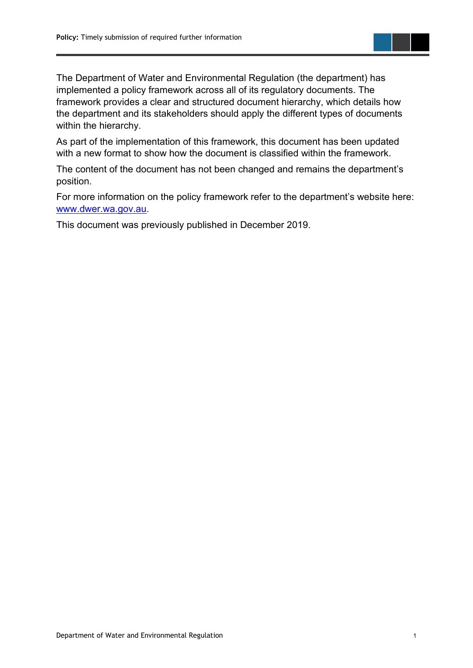The Department of Water and Environmental Regulation (the department) has implemented a policy framework across all of its regulatory documents. The framework provides a clear and structured document hierarchy, which details how the department and its stakeholders should apply the different types of documents within the hierarchy.

As part of the implementation of this framework, this document has been updated with a new format to show how the document is classified within the framework.

The content of the document has not been changed and remains the department's position.

For more information on the policy framework refer to the department's website here: [www.dwer.wa.gov.au.](https://dwer.wa.gov.au/)

This document was previously published in December 2019.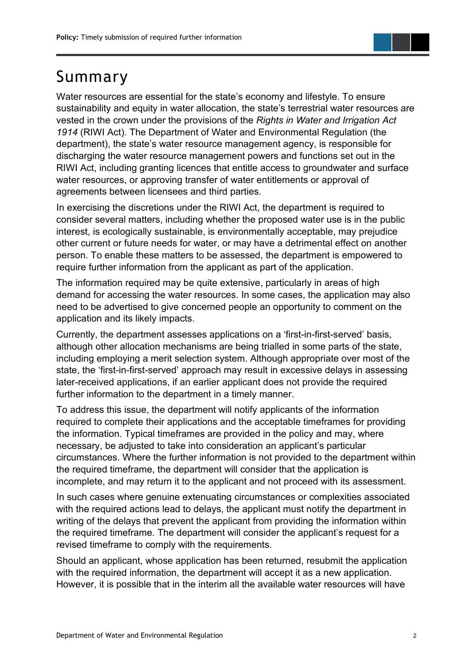## <span id="page-3-0"></span>Summary

Water resources are essential for the state's economy and lifestyle. To ensure sustainability and equity in water allocation, the state's terrestrial water resources are vested in the crown under the provisions of the *Rights in Water and Irrigation Act 1914* (RIWI Act). The Department of Water and Environmental Regulation (the department), the state's water resource management agency, is responsible for discharging the water resource management powers and functions set out in the RIWI Act, including granting licences that entitle access to groundwater and surface water resources, or approving transfer of water entitlements or approval of agreements between licensees and third parties.

In exercising the discretions under the RIWI Act, the department is required to consider several matters, including whether the proposed water use is in the public interest, is ecologically sustainable, is environmentally acceptable, may prejudice other current or future needs for water, or may have a detrimental effect on another person. To enable these matters to be assessed, the department is empowered to require further information from the applicant as part of the application.

The information required may be quite extensive, particularly in areas of high demand for accessing the water resources. In some cases, the application may also need to be advertised to give concerned people an opportunity to comment on the application and its likely impacts.

Currently, the department assesses applications on a 'first-in-first-served' basis, although other allocation mechanisms are being trialled in some parts of the state, including employing a merit selection system. Although appropriate over most of the state, the 'first-in-first-served' approach may result in excessive delays in assessing later-received applications, if an earlier applicant does not provide the required further information to the department in a timely manner.

To address this issue, the department will notify applicants of the information required to complete their applications and the acceptable timeframes for providing the information. Typical timeframes are provided in the policy and may, where necessary, be adjusted to take into consideration an applicant's particular circumstances. Where the further information is not provided to the department within the required timeframe, the department will consider that the application is incomplete, and may return it to the applicant and not proceed with its assessment.

In such cases where genuine extenuating circumstances or complexities associated with the required actions lead to delays, the applicant must notify the department in writing of the delays that prevent the applicant from providing the information within the required timeframe. The department will consider the applicant's request for a revised timeframe to comply with the requirements.

Should an applicant, whose application has been returned, resubmit the application with the required information, the department will accept it as a new application. However, it is possible that in the interim all the available water resources will have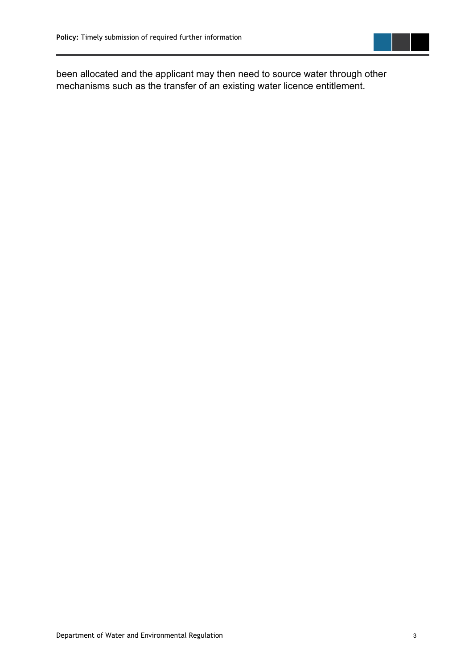

been allocated and the applicant may then need to source water through other mechanisms such as the transfer of an existing water licence entitlement.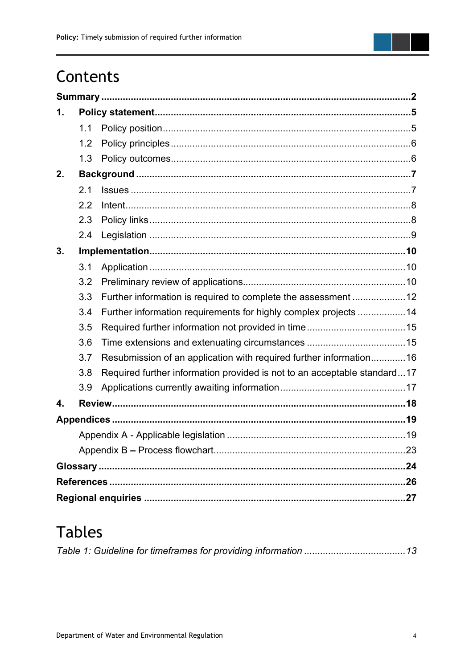

| 1. |     |                                                                          |  |
|----|-----|--------------------------------------------------------------------------|--|
|    | 1.1 |                                                                          |  |
|    | 1.2 |                                                                          |  |
|    | 1.3 |                                                                          |  |
| 2. |     |                                                                          |  |
|    | 2.1 |                                                                          |  |
|    | 2.2 |                                                                          |  |
|    | 2.3 |                                                                          |  |
|    | 2.4 |                                                                          |  |
| 3. |     |                                                                          |  |
|    | 3.1 |                                                                          |  |
|    | 3.2 |                                                                          |  |
|    | 3.3 | Further information is required to complete the assessment 12            |  |
|    | 3.4 | Further information requirements for highly complex projects 14          |  |
|    | 3.5 |                                                                          |  |
|    | 3.6 |                                                                          |  |
|    | 3.7 | Resubmission of an application with required further information16       |  |
|    | 3.8 | Required further information provided is not to an acceptable standard17 |  |
|    | 3.9 |                                                                          |  |
| 4. |     |                                                                          |  |
|    |     |                                                                          |  |
|    |     |                                                                          |  |
|    |     |                                                                          |  |
|    |     |                                                                          |  |
|    |     |                                                                          |  |
|    |     |                                                                          |  |

# **Tables**

|--|--|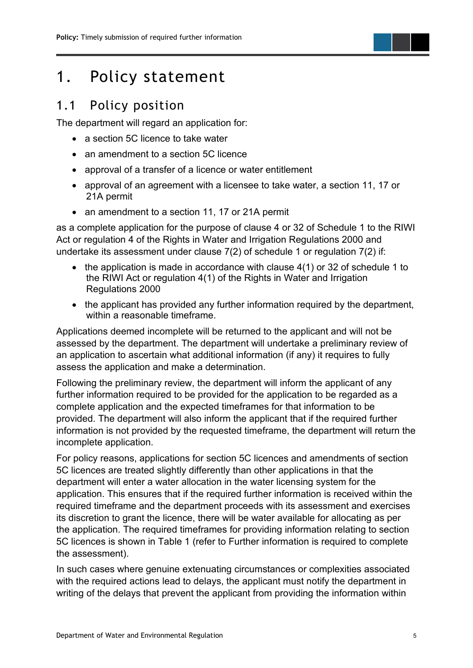## <span id="page-6-0"></span>1. Policy statement

#### <span id="page-6-1"></span>1.1 Policy position

The department will regard an application for:

- a section 5C licence to take water
- an amendment to a section 5C licence
- approval of a transfer of a licence or water entitlement
- approval of an agreement with a licensee to take water, a section 11, 17 or 21A permit
- an amendment to a section 11, 17 or 21A permit

as a complete application for the purpose of clause 4 or 32 of Schedule 1 to the RIWI Act or regulation 4 of the Rights in Water and Irrigation Regulations 2000 and undertake its assessment under clause 7(2) of schedule 1 or regulation 7(2) if:

- the application is made in accordance with clause 4(1) or 32 of schedule 1 to the RIWI Act or regulation 4(1) of the Rights in Water and Irrigation Regulations 2000
- the applicant has provided any further information required by the department, within a reasonable timeframe.

Applications deemed incomplete will be returned to the applicant and will not be assessed by the department. The department will undertake a preliminary review of an application to ascertain what additional information (if any) it requires to fully assess the application and make a determination.

Following the preliminary review, the department will inform the applicant of any further information required to be provided for the application to be regarded as a complete application and the expected timeframes for that information to be provided. The department will also inform the applicant that if the required further information is not provided by the requested timeframe, the department will return the incomplete application.

For policy reasons, applications for section 5C licences and amendments of section 5C licences are treated slightly differently than other applications in that the department will enter a water allocation in the water licensing system for the application. This ensures that if the required further information is received within the required timeframe and the department proceeds with its assessment and exercises its discretion to grant the licence, there will be water available for allocating as per the application. The required timeframes for providing information relating to section 5C licences is shown in Table 1 (refer to Further information is required to complete the assessment).

In such cases where genuine extenuating circumstances or complexities associated with the required actions lead to delays, the applicant must notify the department in writing of the delays that prevent the applicant from providing the information within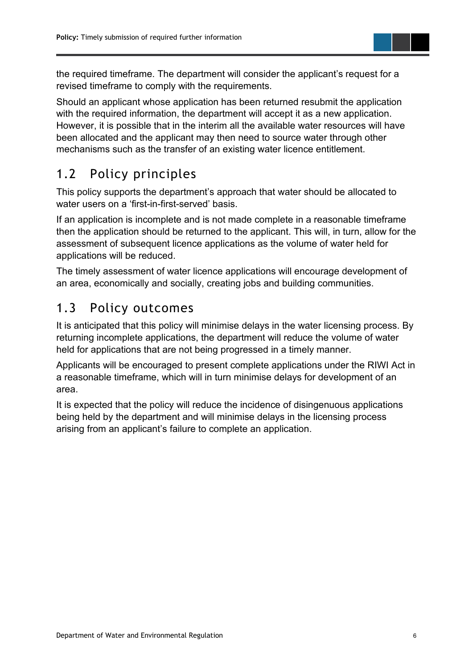the required timeframe. The department will consider the applicant's request for a revised timeframe to comply with the requirements.

Should an applicant whose application has been returned resubmit the application with the required information, the department will accept it as a new application. However, it is possible that in the interim all the available water resources will have been allocated and the applicant may then need to source water through other mechanisms such as the transfer of an existing water licence entitlement.

## <span id="page-7-0"></span>1.2 Policy principles

This policy supports the department's approach that water should be allocated to water users on a 'first-in-first-served' basis.

If an application is incomplete and is not made complete in a reasonable timeframe then the application should be returned to the applicant. This will, in turn, allow for the assessment of subsequent licence applications as the volume of water held for applications will be reduced.

The timely assessment of water licence applications will encourage development of an area, economically and socially, creating jobs and building communities.

## <span id="page-7-1"></span>1.3 Policy outcomes

It is anticipated that this policy will minimise delays in the water licensing process. By returning incomplete applications, the department will reduce the volume of water held for applications that are not being progressed in a timely manner.

Applicants will be encouraged to present complete applications under the RIWI Act in a reasonable timeframe, which will in turn minimise delays for development of an area.

It is expected that the policy will reduce the incidence of disingenuous applications being held by the department and will minimise delays in the licensing process arising from an applicant's failure to complete an application.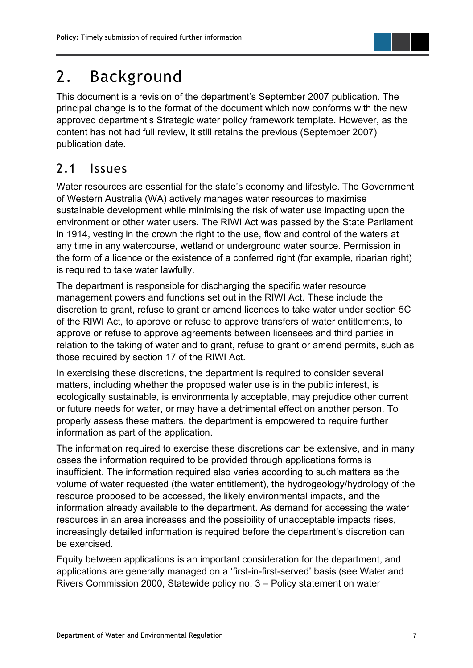# <span id="page-8-0"></span>2. Background

This document is a revision of the department's September 2007 publication. The principal change is to the format of the document which now conforms with the new approved department's Strategic water policy framework template. However, as the content has not had full review, it still retains the previous (September 2007) publication date.

### <span id="page-8-1"></span>2.1 Issues

Water resources are essential for the state's economy and lifestyle. The Government of Western Australia (WA) actively manages water resources to maximise sustainable development while minimising the risk of water use impacting upon the environment or other water users. The RIWI Act was passed by the State Parliament in 1914, vesting in the crown the right to the use, flow and control of the waters at any time in any watercourse, wetland or underground water source. Permission in the form of a licence or the existence of a conferred right (for example, riparian right) is required to take water lawfully.

The department is responsible for discharging the specific water resource management powers and functions set out in the RIWI Act. These include the discretion to grant, refuse to grant or amend licences to take water under section 5C of the RIWI Act, to approve or refuse to approve transfers of water entitlements, to approve or refuse to approve agreements between licensees and third parties in relation to the taking of water and to grant, refuse to grant or amend permits, such as those required by section 17 of the RIWI Act.

In exercising these discretions, the department is required to consider several matters, including whether the proposed water use is in the public interest, is ecologically sustainable, is environmentally acceptable, may prejudice other current or future needs for water, or may have a detrimental effect on another person. To properly assess these matters, the department is empowered to require further information as part of the application.

The information required to exercise these discretions can be extensive, and in many cases the information required to be provided through applications forms is insufficient. The information required also varies according to such matters as the volume of water requested (the water entitlement), the hydrogeology/hydrology of the resource proposed to be accessed, the likely environmental impacts, and the information already available to the department. As demand for accessing the water resources in an area increases and the possibility of unacceptable impacts rises, increasingly detailed information is required before the department's discretion can be exercised.

Equity between applications is an important consideration for the department, and applications are generally managed on a 'first-in-first-served' basis (see Water and Rivers Commission 2000, Statewide policy no. 3 – Policy statement on water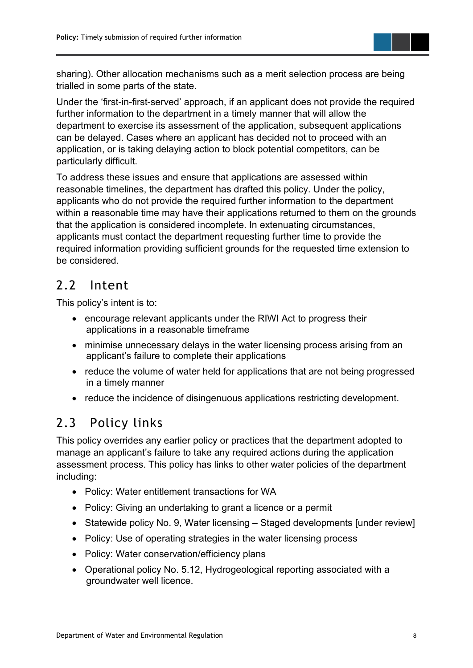

Under the 'first-in-first-served' approach, if an applicant does not provide the required further information to the department in a timely manner that will allow the department to exercise its assessment of the application, subsequent applications can be delayed. Cases where an applicant has decided not to proceed with an application, or is taking delaying action to block potential competitors, can be particularly difficult.

To address these issues and ensure that applications are assessed within reasonable timelines, the department has drafted this policy. Under the policy, applicants who do not provide the required further information to the department within a reasonable time may have their applications returned to them on the grounds that the application is considered incomplete. In extenuating circumstances, applicants must contact the department requesting further time to provide the required information providing sufficient grounds for the requested time extension to be considered.

### <span id="page-9-0"></span>2.2 Intent

This policy's intent is to:

- encourage relevant applicants under the RIWI Act to progress their applications in a reasonable timeframe
- minimise unnecessary delays in the water licensing process arising from an applicant's failure to complete their applications
- reduce the volume of water held for applications that are not being progressed in a timely manner
- reduce the incidence of disingenuous applications restricting development.

## <span id="page-9-1"></span>2.3 Policy links

This policy overrides any earlier policy or practices that the department adopted to manage an applicant's failure to take any required actions during the application assessment process. This policy has links to other water policies of the department including:

- Policy: Water entitlement transactions for WA
- Policy: Giving an undertaking to grant a licence or a permit
- Statewide policy No. 9, Water licensing Staged developments [under review]
- Policy: Use of operating strategies in the water licensing process
- Policy: Water conservation/efficiency plans
- Operational policy No. 5.12, Hydrogeological reporting associated with a groundwater well licence.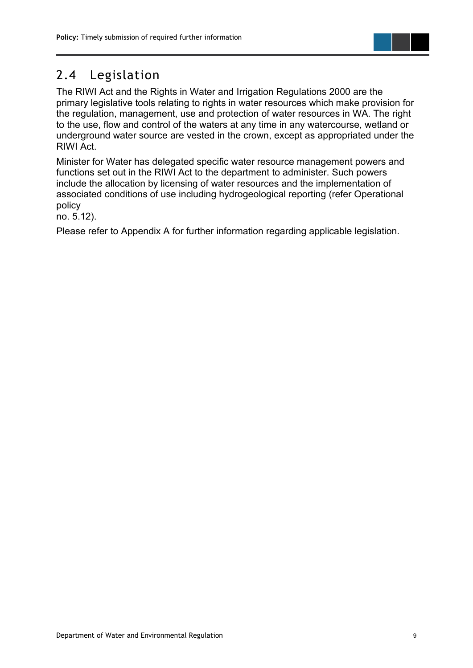

## <span id="page-10-0"></span>2.4 Legislation

The RIWI Act and the Rights in Water and Irrigation Regulations 2000 are the primary legislative tools relating to rights in water resources which make provision for the regulation, management, use and protection of water resources in WA. The right to the use, flow and control of the waters at any time in any watercourse, wetland or underground water source are vested in the crown, except as appropriated under the RIWI Act.

Minister for Water has delegated specific water resource management powers and functions set out in the RIWI Act to the department to administer. Such powers include the allocation by licensing of water resources and the implementation of associated conditions of use including hydrogeological reporting (refer Operational policy

no. 5.12).

Please refer to Appendix A for further information regarding applicable legislation.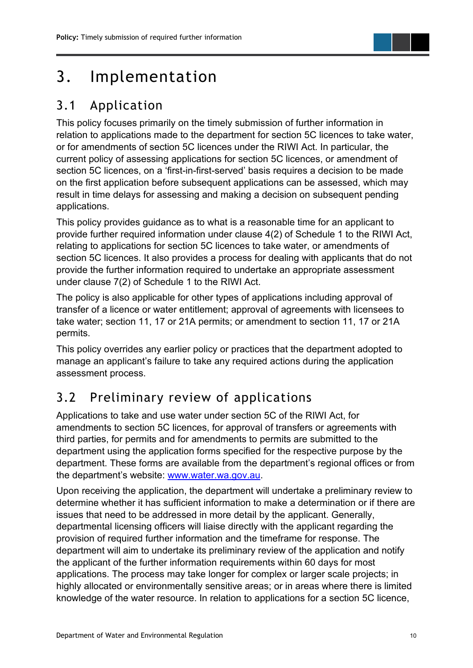# <span id="page-11-0"></span>3. Implementation

## <span id="page-11-1"></span>3.1 Application

This policy focuses primarily on the timely submission of further information in relation to applications made to the department for section 5C licences to take water, or for amendments of section 5C licences under the RIWI Act. In particular, the current policy of assessing applications for section 5C licences, or amendment of section 5C licences, on a 'first-in-first-served' basis requires a decision to be made on the first application before subsequent applications can be assessed, which may result in time delays for assessing and making a decision on subsequent pending applications.

This policy provides guidance as to what is a reasonable time for an applicant to provide further required information under clause 4(2) of Schedule 1 to the RIWI Act, relating to applications for section 5C licences to take water, or amendments of section 5C licences. It also provides a process for dealing with applicants that do not provide the further information required to undertake an appropriate assessment under clause 7(2) of Schedule 1 to the RIWI Act.

The policy is also applicable for other types of applications including approval of transfer of a licence or water entitlement; approval of agreements with licensees to take water; section 11, 17 or 21A permits; or amendment to section 11, 17 or 21A permits.

This policy overrides any earlier policy or practices that the department adopted to manage an applicant's failure to take any required actions during the application assessment process.

## <span id="page-11-2"></span>3.2 Preliminary review of applications

Applications to take and use water under section 5C of the RIWI Act, for amendments to section 5C licences, for approval of transfers or agreements with third parties, for permits and for amendments to permits are submitted to the department using the application forms specified for the respective purpose by the department. These forms are available from the department's regional offices or from the department's website: [www.water.wa.gov.au.](http://www.water.wa.gov.au/)

Upon receiving the application, the department will undertake a preliminary review to determine whether it has sufficient information to make a determination or if there are issues that need to be addressed in more detail by the applicant. Generally, departmental licensing officers will liaise directly with the applicant regarding the provision of required further information and the timeframe for response. The department will aim to undertake its preliminary review of the application and notify the applicant of the further information requirements within 60 days for most applications. The process may take longer for complex or larger scale projects; in highly allocated or environmentally sensitive areas; or in areas where there is limited knowledge of the water resource. In relation to applications for a section 5C licence,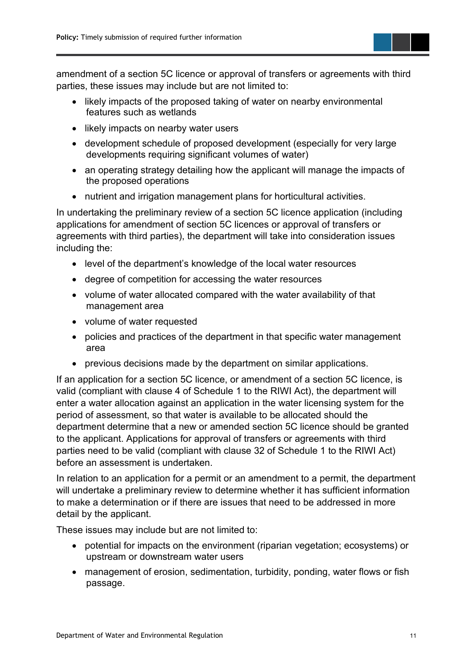amendment of a section 5C licence or approval of transfers or agreements with third parties, these issues may include but are not limited to:

- likely impacts of the proposed taking of water on nearby environmental features such as wetlands
- likely impacts on nearby water users
- development schedule of proposed development (especially for very large developments requiring significant volumes of water)
- an operating strategy detailing how the applicant will manage the impacts of the proposed operations
- nutrient and irrigation management plans for horticultural activities.

In undertaking the preliminary review of a section 5C licence application (including applications for amendment of section 5C licences or approval of transfers or agreements with third parties), the department will take into consideration issues including the:

- level of the department's knowledge of the local water resources
- degree of competition for accessing the water resources
- volume of water allocated compared with the water availability of that management area
- volume of water requested
- policies and practices of the department in that specific water management area
- previous decisions made by the department on similar applications.

If an application for a section 5C licence, or amendment of a section 5C licence, is valid (compliant with clause 4 of Schedule 1 to the RIWI Act), the department will enter a water allocation against an application in the water licensing system for the period of assessment, so that water is available to be allocated should the department determine that a new or amended section 5C licence should be granted to the applicant. Applications for approval of transfers or agreements with third parties need to be valid (compliant with clause 32 of Schedule 1 to the RIWI Act) before an assessment is undertaken.

In relation to an application for a permit or an amendment to a permit, the department will undertake a preliminary review to determine whether it has sufficient information to make a determination or if there are issues that need to be addressed in more detail by the applicant.

These issues may include but are not limited to:

- potential for impacts on the environment (riparian vegetation; ecosystems) or upstream or downstream water users
- management of erosion, sedimentation, turbidity, ponding, water flows or fish passage.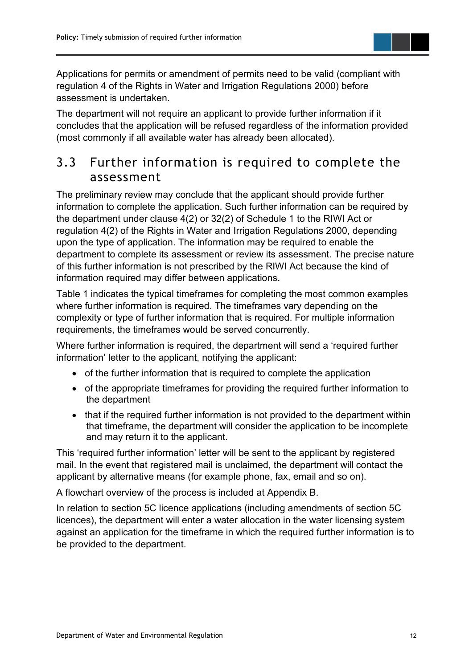Applications for permits or amendment of permits need to be valid (compliant with regulation 4 of the Rights in Water and Irrigation Regulations 2000) before assessment is undertaken.

The department will not require an applicant to provide further information if it concludes that the application will be refused regardless of the information provided (most commonly if all available water has already been allocated).

#### <span id="page-13-0"></span>3.3 Further information is required to complete the assessment

The preliminary review may conclude that the applicant should provide further information to complete the application. Such further information can be required by the department under clause 4(2) or 32(2) of Schedule 1 to the RIWI Act or regulation 4(2) of the Rights in Water and Irrigation Regulations 2000, depending upon the type of application. The information may be required to enable the department to complete its assessment or review its assessment. The precise nature of this further information is not prescribed by the RIWI Act because the kind of information required may differ between applications.

Table 1 indicates the typical timeframes for completing the most common examples where further information is required. The timeframes vary depending on the complexity or type of further information that is required. For multiple information requirements, the timeframes would be served concurrently.

Where further information is required, the department will send a 'required further information' letter to the applicant, notifying the applicant:

- of the further information that is required to complete the application
- of the appropriate timeframes for providing the required further information to the department
- that if the required further information is not provided to the department within that timeframe, the department will consider the application to be incomplete and may return it to the applicant.

This 'required further information' letter will be sent to the applicant by registered mail. In the event that registered mail is unclaimed, the department will contact the applicant by alternative means (for example phone, fax, email and so on).

A flowchart overview of the process is included at Appendix B.

In relation to section 5C licence applications (including amendments of section 5C licences), the department will enter a water allocation in the water licensing system against an application for the timeframe in which the required further information is to be provided to the department.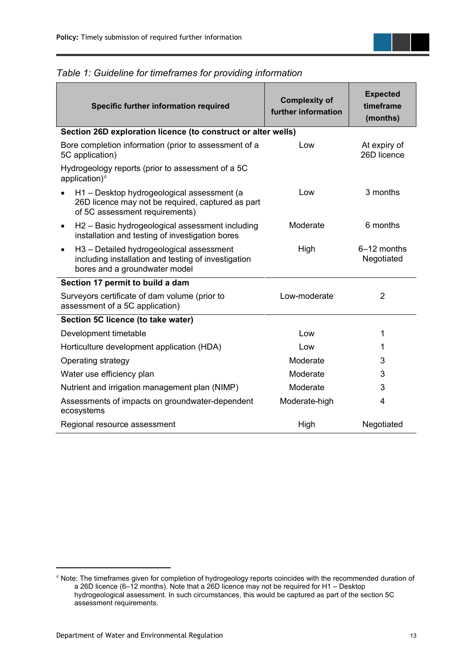| Specific further information required                                            |                                                                                                                                   | <b>Complexity of</b><br>further information | <b>Expected</b><br>timeframe<br>(months) |
|----------------------------------------------------------------------------------|-----------------------------------------------------------------------------------------------------------------------------------|---------------------------------------------|------------------------------------------|
|                                                                                  | Section 26D exploration licence (to construct or alter wells)                                                                     |                                             |                                          |
| Bore completion information (prior to assessment of a<br>5C application)         |                                                                                                                                   | Low                                         | At expiry of<br>26D licence              |
| Hydrogeology reports (prior to assessment of a 5C<br>application) $#$            |                                                                                                                                   |                                             |                                          |
|                                                                                  | H1 - Desktop hydrogeological assessment (a<br>26D licence may not be required, captured as part<br>of 5C assessment requirements) | Low                                         | 3 months                                 |
| $\bullet$                                                                        | H <sub>2</sub> – Basic hydrogeological assessment including<br>installation and testing of investigation bores                    | Moderate                                    | 6 months                                 |
| $\bullet$                                                                        | H3 - Detailed hydrogeological assessment<br>including installation and testing of investigation<br>bores and a groundwater model  | High                                        | 6–12 months<br>Negotiated                |
|                                                                                  | Section 17 permit to build a dam                                                                                                  |                                             |                                          |
| Surveyors certificate of dam volume (prior to<br>assessment of a 5C application) |                                                                                                                                   | Low-moderate                                | $\overline{2}$                           |
|                                                                                  | Section 5C licence (to take water)                                                                                                |                                             |                                          |
|                                                                                  | Development timetable                                                                                                             | Low                                         | 1                                        |
| Horticulture development application (HDA)                                       |                                                                                                                                   | Low                                         | 1                                        |
| Operating strategy                                                               |                                                                                                                                   | Moderate                                    | 3                                        |
| Water use efficiency plan                                                        |                                                                                                                                   | Moderate                                    | 3                                        |
| Nutrient and irrigation management plan (NIMP)                                   |                                                                                                                                   | Moderate                                    | 3                                        |
| Assessments of impacts on groundwater-dependent<br>ecosystems                    |                                                                                                                                   | Moderate-high                               | 4                                        |
| Regional resource assessment                                                     |                                                                                                                                   | High                                        | Negotiated                               |

#### <span id="page-14-0"></span>*Table 1: Guideline for timeframes for providing information*

<span id="page-14-1"></span><sup>#</sup> Note: The timeframes given for completion of hydrogeology reports coincides with the recommended duration of a 26D licence (6–12 months). Note that a 26D licence may not be required for H1 – Desktop hydrogeological assessment. In such circumstances, this would be captured as part of the section 5C assessment requirements.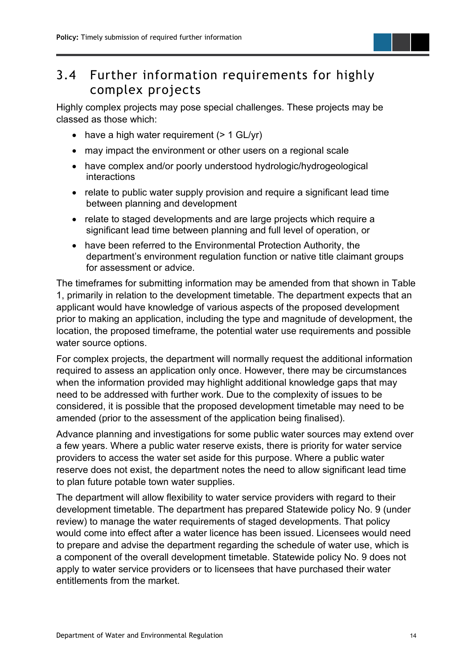### <span id="page-15-0"></span>3.4 Further information requirements for highly complex projects

Highly complex projects may pose special challenges. These projects may be classed as those which:

- have a high water requirement  $(> 1$  GL/yr)
- may impact the environment or other users on a regional scale
- have complex and/or poorly understood hydrologic/hydrogeological interactions
- relate to public water supply provision and require a significant lead time between planning and development
- relate to staged developments and are large projects which require a significant lead time between planning and full level of operation, or
- have been referred to the Environmental Protection Authority, the department's environment regulation function or native title claimant groups for assessment or advice.

The timeframes for submitting information may be amended from that shown in Table 1, primarily in relation to the development timetable. The department expects that an applicant would have knowledge of various aspects of the proposed development prior to making an application, including the type and magnitude of development, the location, the proposed timeframe, the potential water use requirements and possible water source options.

For complex projects, the department will normally request the additional information required to assess an application only once. However, there may be circumstances when the information provided may highlight additional knowledge gaps that may need to be addressed with further work. Due to the complexity of issues to be considered, it is possible that the proposed development timetable may need to be amended (prior to the assessment of the application being finalised).

Advance planning and investigations for some public water sources may extend over a few years. Where a public water reserve exists, there is priority for water service providers to access the water set aside for this purpose. Where a public water reserve does not exist, the department notes the need to allow significant lead time to plan future potable town water supplies.

The department will allow flexibility to water service providers with regard to their development timetable. The department has prepared Statewide policy No. 9 (under review) to manage the water requirements of staged developments. That policy would come into effect after a water licence has been issued. Licensees would need to prepare and advise the department regarding the schedule of water use, which is a component of the overall development timetable. Statewide policy No. 9 does not apply to water service providers or to licensees that have purchased their water entitlements from the market.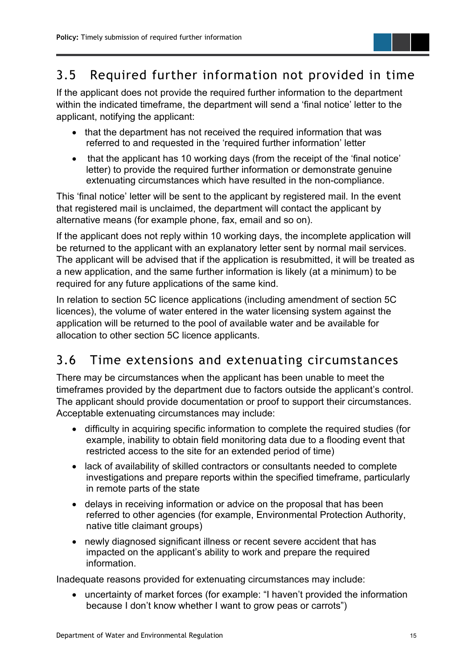## <span id="page-16-0"></span>3.5 Required further information not provided in time

If the applicant does not provide the required further information to the department within the indicated timeframe, the department will send a 'final notice' letter to the applicant, notifying the applicant:

- that the department has not received the required information that was referred to and requested in the 'required further information' letter
- that the applicant has 10 working days (from the receipt of the 'final notice' letter) to provide the required further information or demonstrate genuine extenuating circumstances which have resulted in the non-compliance.

This 'final notice' letter will be sent to the applicant by registered mail. In the event that registered mail is unclaimed, the department will contact the applicant by alternative means (for example phone, fax, email and so on).

If the applicant does not reply within 10 working days, the incomplete application will be returned to the applicant with an explanatory letter sent by normal mail services. The applicant will be advised that if the application is resubmitted, it will be treated as a new application, and the same further information is likely (at a minimum) to be required for any future applications of the same kind.

In relation to section 5C licence applications (including amendment of section 5C licences), the volume of water entered in the water licensing system against the application will be returned to the pool of available water and be available for allocation to other section 5C licence applicants.

### <span id="page-16-1"></span>3.6 Time extensions and extenuating circumstances

There may be circumstances when the applicant has been unable to meet the timeframes provided by the department due to factors outside the applicant's control. The applicant should provide documentation or proof to support their circumstances. Acceptable extenuating circumstances may include:

- difficulty in acquiring specific information to complete the required studies (for example, inability to obtain field monitoring data due to a flooding event that restricted access to the site for an extended period of time)
- lack of availability of skilled contractors or consultants needed to complete investigations and prepare reports within the specified timeframe, particularly in remote parts of the state
- delays in receiving information or advice on the proposal that has been referred to other agencies (for example, Environmental Protection Authority, native title claimant groups)
- newly diagnosed significant illness or recent severe accident that has impacted on the applicant's ability to work and prepare the required information.

Inadequate reasons provided for extenuating circumstances may include:

• uncertainty of market forces (for example: "I haven't provided the information because I don't know whether I want to grow peas or carrots")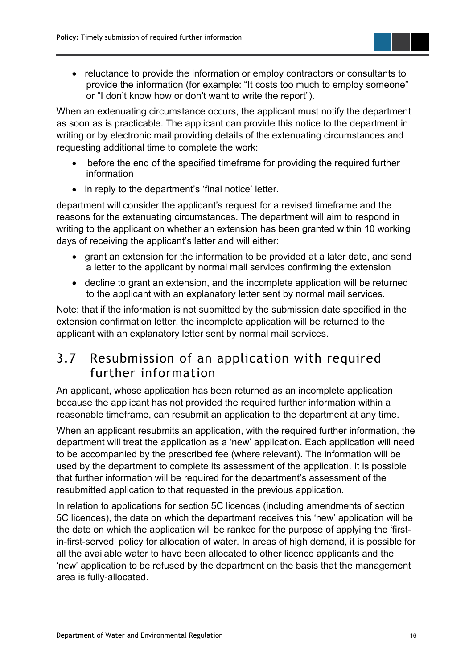• reluctance to provide the information or employ contractors or consultants to provide the information (for example: "It costs too much to employ someone" or "I don't know how or don't want to write the report").

When an extenuating circumstance occurs, the applicant must notify the department as soon as is practicable. The applicant can provide this notice to the department in writing or by electronic mail providing details of the extenuating circumstances and requesting additional time to complete the work:

- before the end of the specified timeframe for providing the required further information
- in reply to the department's 'final notice' letter.

department will consider the applicant's request for a revised timeframe and the reasons for the extenuating circumstances. The department will aim to respond in writing to the applicant on whether an extension has been granted within 10 working days of receiving the applicant's letter and will either:

- grant an extension for the information to be provided at a later date, and send a letter to the applicant by normal mail services confirming the extension
- decline to grant an extension, and the incomplete application will be returned to the applicant with an explanatory letter sent by normal mail services.

Note: that if the information is not submitted by the submission date specified in the extension confirmation letter, the incomplete application will be returned to the applicant with an explanatory letter sent by normal mail services.

#### <span id="page-17-0"></span>3.7 Resubmission of an application with required further information

An applicant, whose application has been returned as an incomplete application because the applicant has not provided the required further information within a reasonable timeframe, can resubmit an application to the department at any time.

When an applicant resubmits an application, with the required further information, the department will treat the application as a 'new' application. Each application will need to be accompanied by the prescribed fee (where relevant). The information will be used by the department to complete its assessment of the application. It is possible that further information will be required for the department's assessment of the resubmitted application to that requested in the previous application.

In relation to applications for section 5C licences (including amendments of section 5C licences), the date on which the department receives this 'new' application will be the date on which the application will be ranked for the purpose of applying the 'firstin-first-served' policy for allocation of water. In areas of high demand, it is possible for all the available water to have been allocated to other licence applicants and the 'new' application to be refused by the department on the basis that the management area is fully-allocated.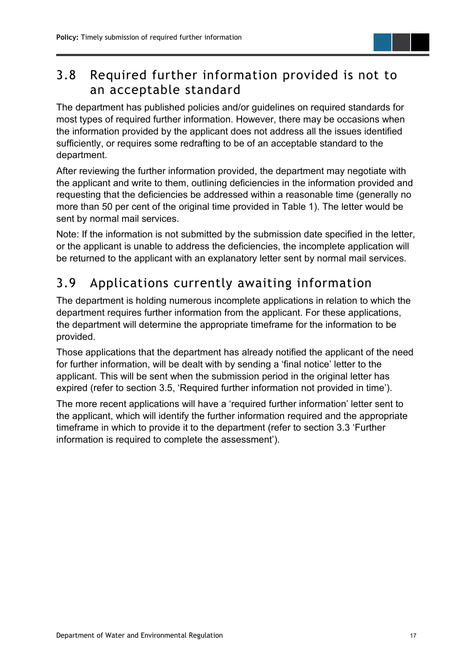#### <span id="page-18-0"></span>3.8 Required further information provided is not to an acceptable standard

The department has published policies and/or guidelines on required standards for most types of required further information. However, there may be occasions when the information provided by the applicant does not address all the issues identified sufficiently, or requires some redrafting to be of an acceptable standard to the department.

After reviewing the further information provided, the department may negotiate with the applicant and write to them, outlining deficiencies in the information provided and requesting that the deficiencies be addressed within a reasonable time (generally no more than 50 per cent of the original time provided in Table 1). The letter would be sent by normal mail services.

Note: If the information is not submitted by the submission date specified in the letter, or the applicant is unable to address the deficiencies, the incomplete application will be returned to the applicant with an explanatory letter sent by normal mail services.

## <span id="page-18-1"></span>3.9 Applications currently awaiting information

The department is holding numerous incomplete applications in relation to which the department requires further information from the applicant. For these applications, the department will determine the appropriate timeframe for the information to be provided.

Those applications that the department has already notified the applicant of the need for further information, will be dealt with by sending a 'final notice' letter to the applicant. This will be sent when the submission period in the original letter has expired (refer to section 3.5, 'Required further information not provided in time').

The more recent applications will have a 'required further information' letter sent to the applicant, which will identify the further information required and the appropriate timeframe in which to provide it to the department (refer to section 3.3 'Further information is required to complete the assessment').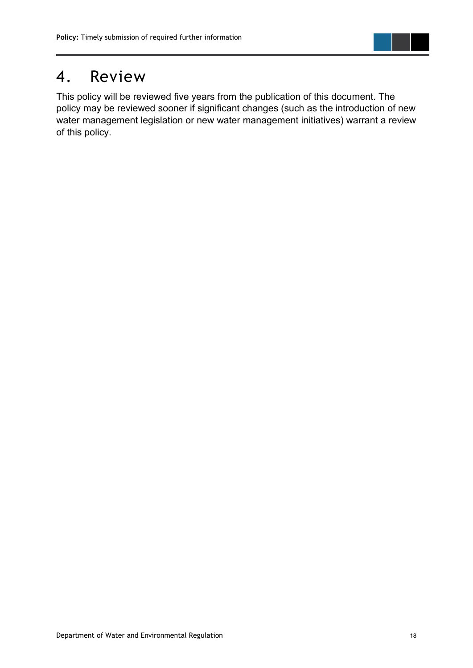

## <span id="page-19-0"></span>4. Review

This policy will be reviewed five years from the publication of this document. The policy may be reviewed sooner if significant changes (such as the introduction of new water management legislation or new water management initiatives) warrant a review of this policy.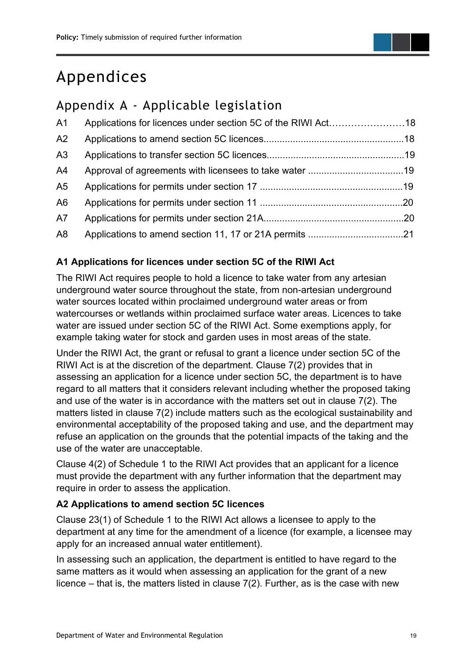# <span id="page-20-0"></span>Appendices

## <span id="page-20-1"></span>Appendix A - Applicable legislation

| A <sub>1</sub> |  |
|----------------|--|
| A2             |  |
| A3             |  |
| A <sup>4</sup> |  |
| A <sub>5</sub> |  |
| A <sub>6</sub> |  |
| A7             |  |
| A <sub>8</sub> |  |

#### **A1 Applications for licences under section 5C of the RIWI Act**

The RIWI Act requires people to hold a licence to take water from any artesian underground water source throughout the state, from non-artesian underground water sources located within proclaimed underground water areas or from watercourses or wetlands within proclaimed surface water areas. Licences to take water are issued under section 5C of the RIWI Act. Some exemptions apply, for example taking water for stock and garden uses in most areas of the state.

Under the RIWI Act, the grant or refusal to grant a licence under section 5C of the RIWI Act is at the discretion of the department. Clause 7(2) provides that in assessing an application for a licence under section 5C, the department is to have regard to all matters that it considers relevant including whether the proposed taking and use of the water is in accordance with the matters set out in clause 7(2). The matters listed in clause 7(2) include matters such as the ecological sustainability and environmental acceptability of the proposed taking and use, and the department may refuse an application on the grounds that the potential impacts of the taking and the use of the water are unacceptable.

Clause 4(2) of Schedule 1 to the RIWI Act provides that an applicant for a licence must provide the department with any further information that the department may require in order to assess the application.

#### **A2 Applications to amend section 5C licences**

Clause 23(1) of Schedule 1 to the RIWI Act allows a licensee to apply to the department at any time for the amendment of a licence (for example, a licensee may apply for an increased annual water entitlement).

In assessing such an application, the department is entitled to have regard to the same matters as it would when assessing an application for the grant of a new licence – that is, the matters listed in clause 7(2). Further, as is the case with new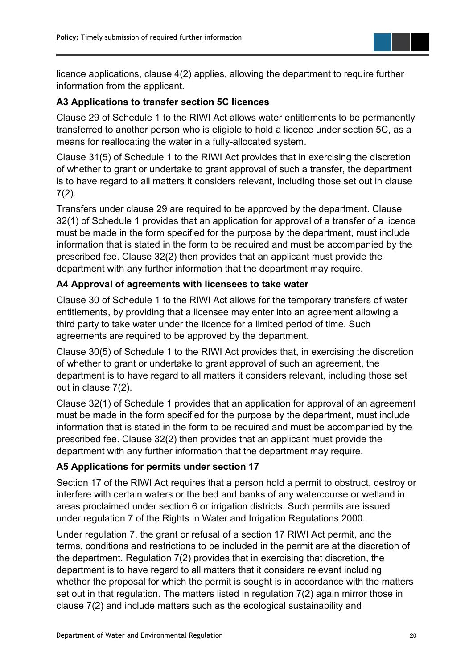

licence applications, clause 4(2) applies, allowing the department to require further information from the applicant.

#### **A3 Applications to transfer section 5C licences**

Clause 29 of Schedule 1 to the RIWI Act allows water entitlements to be permanently transferred to another person who is eligible to hold a licence under section 5C, as a means for reallocating the water in a fully-allocated system.

Clause 31(5) of Schedule 1 to the RIWI Act provides that in exercising the discretion of whether to grant or undertake to grant approval of such a transfer, the department is to have regard to all matters it considers relevant, including those set out in clause  $7(2)$ .

Transfers under clause 29 are required to be approved by the department. Clause 32(1) of Schedule 1 provides that an application for approval of a transfer of a licence must be made in the form specified for the purpose by the department, must include information that is stated in the form to be required and must be accompanied by the prescribed fee. Clause 32(2) then provides that an applicant must provide the department with any further information that the department may require.

#### **A4 Approval of agreements with licensees to take water**

Clause 30 of Schedule 1 to the RIWI Act allows for the temporary transfers of water entitlements, by providing that a licensee may enter into an agreement allowing a third party to take water under the licence for a limited period of time. Such agreements are required to be approved by the department.

Clause 30(5) of Schedule 1 to the RIWI Act provides that, in exercising the discretion of whether to grant or undertake to grant approval of such an agreement, the department is to have regard to all matters it considers relevant, including those set out in clause 7(2).

Clause 32(1) of Schedule 1 provides that an application for approval of an agreement must be made in the form specified for the purpose by the department, must include information that is stated in the form to be required and must be accompanied by the prescribed fee. Clause 32(2) then provides that an applicant must provide the department with any further information that the department may require.

#### **A5 Applications for permits under section 17**

Section 17 of the RIWI Act requires that a person hold a permit to obstruct, destroy or interfere with certain waters or the bed and banks of any watercourse or wetland in areas proclaimed under section 6 or irrigation districts. Such permits are issued under regulation 7 of the Rights in Water and Irrigation Regulations 2000.

Under regulation 7, the grant or refusal of a section 17 RIWI Act permit, and the terms, conditions and restrictions to be included in the permit are at the discretion of the department. Regulation 7(2) provides that in exercising that discretion, the department is to have regard to all matters that it considers relevant including whether the proposal for which the permit is sought is in accordance with the matters set out in that regulation. The matters listed in regulation 7(2) again mirror those in clause 7(2) and include matters such as the ecological sustainability and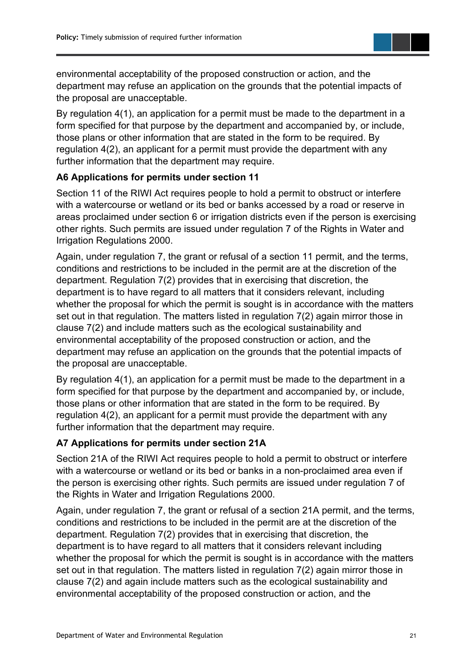environmental acceptability of the proposed construction or action, and the department may refuse an application on the grounds that the potential impacts of the proposal are unacceptable.

By regulation 4(1), an application for a permit must be made to the department in a form specified for that purpose by the department and accompanied by, or include, those plans or other information that are stated in the form to be required. By regulation 4(2), an applicant for a permit must provide the department with any further information that the department may require.

#### **A6 Applications for permits under section 11**

Section 11 of the RIWI Act requires people to hold a permit to obstruct or interfere with a watercourse or wetland or its bed or banks accessed by a road or reserve in areas proclaimed under section 6 or irrigation districts even if the person is exercising other rights. Such permits are issued under regulation 7 of the Rights in Water and Irrigation Regulations 2000.

Again, under regulation 7, the grant or refusal of a section 11 permit, and the terms, conditions and restrictions to be included in the permit are at the discretion of the department. Regulation 7(2) provides that in exercising that discretion, the department is to have regard to all matters that it considers relevant, including whether the proposal for which the permit is sought is in accordance with the matters set out in that regulation. The matters listed in regulation 7(2) again mirror those in clause 7(2) and include matters such as the ecological sustainability and environmental acceptability of the proposed construction or action, and the department may refuse an application on the grounds that the potential impacts of the proposal are unacceptable.

By regulation 4(1), an application for a permit must be made to the department in a form specified for that purpose by the department and accompanied by, or include, those plans or other information that are stated in the form to be required. By regulation 4(2), an applicant for a permit must provide the department with any further information that the department may require.

#### **A7 Applications for permits under section 21A**

Section 21A of the RIWI Act requires people to hold a permit to obstruct or interfere with a watercourse or wetland or its bed or banks in a non-proclaimed area even if the person is exercising other rights. Such permits are issued under regulation 7 of the Rights in Water and Irrigation Regulations 2000.

Again, under regulation 7, the grant or refusal of a section 21A permit, and the terms, conditions and restrictions to be included in the permit are at the discretion of the department. Regulation 7(2) provides that in exercising that discretion, the department is to have regard to all matters that it considers relevant including whether the proposal for which the permit is sought is in accordance with the matters set out in that regulation. The matters listed in regulation 7(2) again mirror those in clause 7(2) and again include matters such as the ecological sustainability and environmental acceptability of the proposed construction or action, and the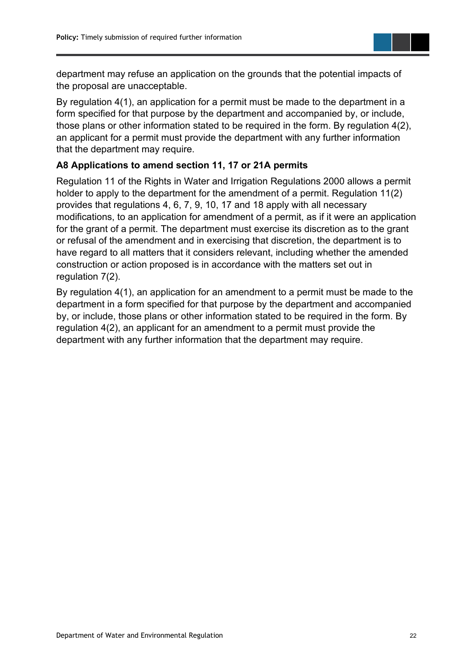department may refuse an application on the grounds that the potential impacts of the proposal are unacceptable.

By regulation 4(1), an application for a permit must be made to the department in a form specified for that purpose by the department and accompanied by, or include, those plans or other information stated to be required in the form. By regulation 4(2), an applicant for a permit must provide the department with any further information that the department may require.

#### **A8 Applications to amend section 11, 17 or 21A permits**

Regulation 11 of the Rights in Water and Irrigation Regulations 2000 allows a permit holder to apply to the department for the amendment of a permit. Regulation 11(2) provides that regulations 4, 6, 7, 9, 10, 17 and 18 apply with all necessary modifications, to an application for amendment of a permit, as if it were an application for the grant of a permit. The department must exercise its discretion as to the grant or refusal of the amendment and in exercising that discretion, the department is to have regard to all matters that it considers relevant, including whether the amended construction or action proposed is in accordance with the matters set out in regulation 7(2).

By regulation 4(1), an application for an amendment to a permit must be made to the department in a form specified for that purpose by the department and accompanied by, or include, those plans or other information stated to be required in the form. By regulation 4(2), an applicant for an amendment to a permit must provide the department with any further information that the department may require.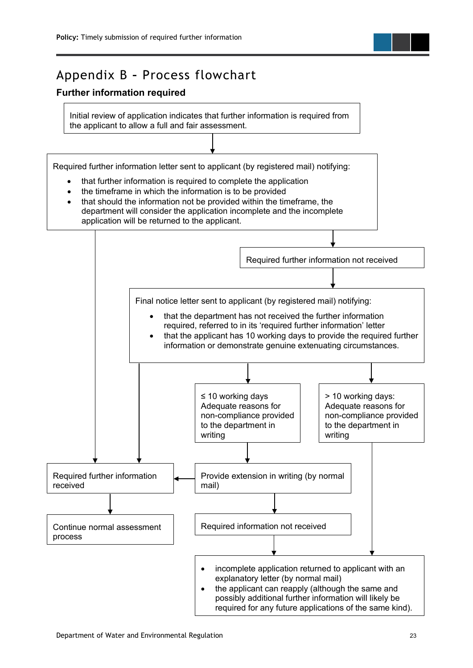### <span id="page-24-0"></span>Appendix B **–** Process flowchart

#### **Further information required**

Initial review of application indicates that further information is required from the applicant to allow a full and fair assessment.

Required further information letter sent to applicant (by registered mail) notifying:

- that further information is required to complete the application
- the timeframe in which the information is to be provided
- that should the information not be provided within the timeframe, the department will consider the application incomplete and the incomplete

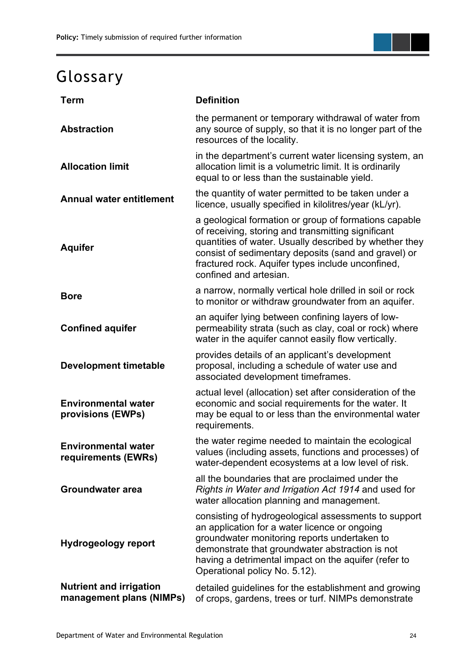# <span id="page-25-0"></span>Glossary

| <b>Term</b>                                                | <b>Definition</b>                                                                                                                                                                                                                                                                                            |  |
|------------------------------------------------------------|--------------------------------------------------------------------------------------------------------------------------------------------------------------------------------------------------------------------------------------------------------------------------------------------------------------|--|
| <b>Abstraction</b>                                         | the permanent or temporary withdrawal of water from<br>any source of supply, so that it is no longer part of the<br>resources of the locality.                                                                                                                                                               |  |
| <b>Allocation limit</b>                                    | in the department's current water licensing system, an<br>allocation limit is a volumetric limit. It is ordinarily<br>equal to or less than the sustainable yield.                                                                                                                                           |  |
| <b>Annual water entitlement</b>                            | the quantity of water permitted to be taken under a<br>licence, usually specified in kilolitres/year (kL/yr).                                                                                                                                                                                                |  |
| <b>Aquifer</b>                                             | a geological formation or group of formations capable<br>of receiving, storing and transmitting significant<br>quantities of water. Usually described by whether they<br>consist of sedimentary deposits (sand and gravel) or<br>fractured rock. Aquifer types include unconfined,<br>confined and artesian. |  |
| <b>Bore</b>                                                | a narrow, normally vertical hole drilled in soil or rock<br>to monitor or withdraw groundwater from an aquifer.                                                                                                                                                                                              |  |
| <b>Confined aquifer</b>                                    | an aquifer lying between confining layers of low-<br>permeability strata (such as clay, coal or rock) where<br>water in the aquifer cannot easily flow vertically.                                                                                                                                           |  |
| <b>Development timetable</b>                               | provides details of an applicant's development<br>proposal, including a schedule of water use and<br>associated development timeframes.                                                                                                                                                                      |  |
| <b>Environmental water</b><br>provisions (EWPs)            | actual level (allocation) set after consideration of the<br>economic and social requirements for the water. It<br>may be equal to or less than the environmental water<br>requirements.                                                                                                                      |  |
| <b>Environmental water</b><br>requirements (EWRs)          | the water regime needed to maintain the ecological<br>values (including assets, functions and processes) of<br>water-dependent ecosystems at a low level of risk.                                                                                                                                            |  |
| <b>Groundwater area</b>                                    | all the boundaries that are proclaimed under the<br>Rights in Water and Irrigation Act 1914 and used for<br>water allocation planning and management.                                                                                                                                                        |  |
| <b>Hydrogeology report</b>                                 | consisting of hydrogeological assessments to support<br>an application for a water licence or ongoing<br>groundwater monitoring reports undertaken to<br>demonstrate that groundwater abstraction is not<br>having a detrimental impact on the aquifer (refer to<br>Operational policy No. 5.12).            |  |
| <b>Nutrient and irrigation</b><br>management plans (NIMPs) | detailed guidelines for the establishment and growing<br>of crops, gardens, trees or turf. NIMPs demonstrate                                                                                                                                                                                                 |  |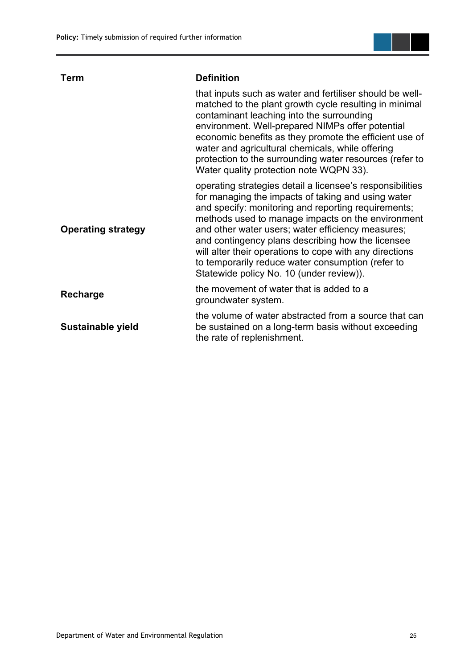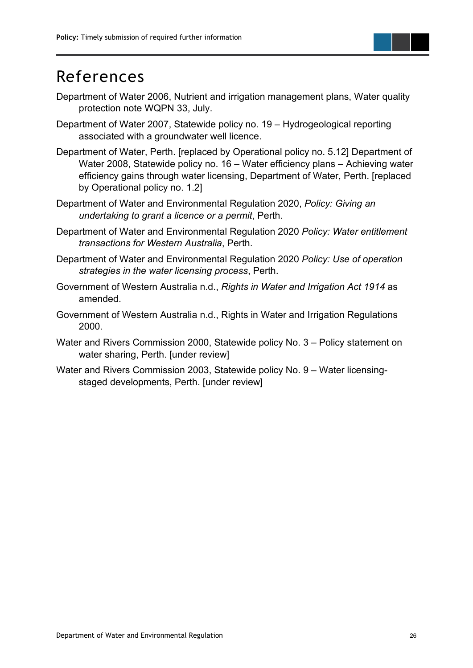## <span id="page-27-0"></span>References

- Department of Water 2006, Nutrient and irrigation management plans, Water quality protection note WQPN 33, July.
- Department of Water 2007, Statewide policy no. 19 Hydrogeological reporting associated with a groundwater well licence.
- Department of Water, Perth. [replaced by Operational policy no. 5.12] Department of Water 2008, Statewide policy no. 16 – Water efficiency plans – Achieving water efficiency gains through water licensing, Department of Water, Perth. [replaced by Operational policy no. 1.2]
- Department of Water and Environmental Regulation 2020, *Policy: Giving an undertaking to grant a licence or a permit*, Perth.
- Department of Water and Environmental Regulation 2020 *Policy: Water entitlement transactions for Western Australia*, Perth.
- Department of Water and Environmental Regulation 2020 *Policy: Use of operation strategies in the water licensing process*, Perth.
- Government of Western Australia n.d., *Rights in Water and Irrigation Act 1914* as amended.
- Government of Western Australia n.d., Rights in Water and Irrigation Regulations 2000.
- Water and Rivers Commission 2000, Statewide policy No. 3 Policy statement on water sharing, Perth. [under review]
- Water and Rivers Commission 2003, Statewide policy No. 9 Water licensingstaged developments, Perth. [under review]